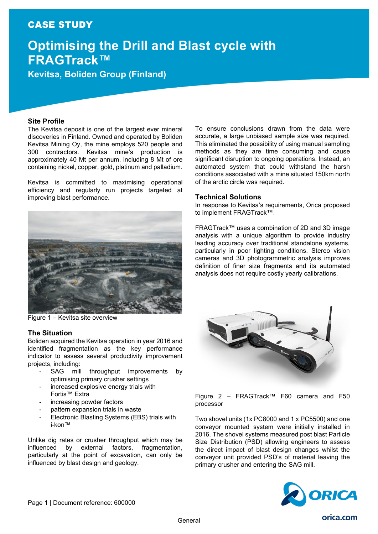## CASE STUDY

# **Optimising the Drill and Blast cycle with FRAGTrack™**

**Kevitsa, Boliden Group (Finland)**

### **Site Profile**

The Kevitsa deposit is one of the largest ever mineral discoveries in Finland. Owned and operated by Boliden Kevitsa Mining Oy, the mine employs 520 people and 300 contractors. Kevitsa mine's production is approximately 40 Mt per annum, including 8 Mt of ore containing nickel, copper, gold, platinum and palladium.

Kevitsa is committed to maximising operational efficiency and regularly run projects targeted at improving blast performance.

To ensure conclusions drawn from the data were accurate, a large unbiased sample size was required. This eliminated the possibility of using manual sampling methods as they are time consuming and cause significant disruption to ongoing operations. Instead, an automated system that could withstand the harsh conditions associated with a mine situated 150km north of the arctic circle was required.

#### **Technical Solutions**

In response to Kevitsa's requirements, Orica proposed to implement FRAGTrack™.

FRAGTrack™ uses a combination of 2D and 3D image analysis with a unique algorithm to provide industry leading accuracy over traditional standalone systems, particularly in poor lighting conditions. Stereo vision cameras and 3D photogrammetric analysis improves definition of finer size fragments and its automated analysis does not require costly yearly calibrations.

Figure 1 – Kevitsa site overview

#### **The Situation**

Boliden acquired the Kevitsa operation in year 2016 and identified fragmentation as the key performance indicator to assess several productivity improvement projects, including:

- SAG mill throughput improvements by optimising primary crusher settings
- increased explosive energy trials with Fortis™ Extra
- increasing powder factors
- pattern expansion trials in waste
- Electronic Blasting Systems (EBS) trials with i-kon™

Unlike dig rates or crusher throughput which may be influenced by external factors, fragmentation, particularly at the point of excavation, can only be influenced by blast design and geology.



Figure 2 – FRAGTrack™ F60 camera and F50 processor

Two shovel units (1x PC8000 and 1 x PC5500) and one conveyor mounted system were initially installed in 2016. The shovel systems measured post blast Particle Size Distribution (PSD) allowing engineers to assess the direct impact of blast design changes whilst the conveyor unit provided PSD's of material leaving the primary crusher and entering the SAG mill.

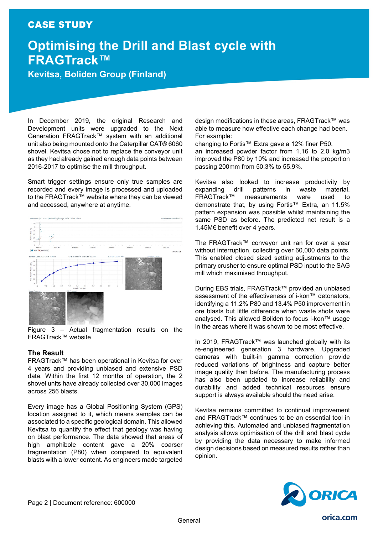## CASE STUDY

# **Optimising the Drill and Blast cycle with FRAGTrack™**

## **Kevitsa, Boliden Group (Finland)**

In December 2019, the original Research and Development units were upgraded to the Next Generation FRAGTrack™ system with an additional unit also being mounted onto the Caterpillar CAT® 6060 shovel. Kevitsa chose not to replace the conveyor unit as they had already gained enough data points between 2016-2017 to optimise the mill throughput.

Smart trigger settings ensure only true samples are recorded and every image is processed and uploaded to the FRAGTrack™ website where they can be viewed and accessed, anywhere at anytime.



Figure 3 – Actual fragmentation results on the FRAGTrack™ website

### **The Result**

FRAGTrack™ has been operational in Kevitsa for over 4 years and providing unbiased and extensive PSD data. Within the first 12 months of operation, the 2 shovel units have already collected over 30,000 images across 256 blasts.

Every image has a Global Positioning System (GPS) location assigned to it, which means samples can be associated to a specific geological domain. This allowed Kevitsa to quantify the effect that geology was having on blast performance. The data showed that areas of high amphibole content gave a 20% coarser fragmentation (P80) when compared to equivalent blasts with a lower content. As engineers made targeted

design modifications in these areas, FRAGTrack™ was able to measure how effective each change had been. For example:

changing to Fortis™ Extra gave a 12% finer P50. an increased powder factor from 1.16 to 2.0 kg/m3 improved the P80 by 10% and increased the proportion passing 200mm from 50.3% to 55.9%.

Kevitsa also looked to increase productivity by expanding drill patterns in waste material.<br>FRAGTrack™ measurements were used to measurements were used to demonstrate that, by using Fortis™ Extra, an 11.5% pattern expansion was possible whilst maintaining the same PSD as before. The predicted net result is a 1.45M€ benefit over 4 years.

The FRAGTrack™ conveyor unit ran for over a year without interruption, collecting over 60,000 data points. This enabled closed sized setting adjustments to the primary crusher to ensure optimal PSD input to the SAG mill which maximised throughput.

During EBS trials, FRAGTrack™ provided an unbiased assessment of the effectiveness of i-kon™ detonators, identifying a 11.2% P80 and 13.4% P50 improvement in ore blasts but little difference when waste shots were analysed. This allowed Boliden to focus i-kon™ usage in the areas where it was shown to be most effective.

In 2019, FRAGTrack™ was launched globally with its re-engineered generation 3 hardware. Upgraded cameras with built-in gamma correction provide reduced variations of brightness and capture better image quality than before. The manufacturing process has also been updated to increase reliability and durability and added technical resources ensure support is always available should the need arise.

Kevitsa remains committed to continual improvement and FRAGTrack™ continues to be an essential tool in achieving this. Automated and unbiased fragmentation analysis allows optimisation of the drill and blast cycle by providing the data necessary to make informed design decisions based on measured results rather than opinion.